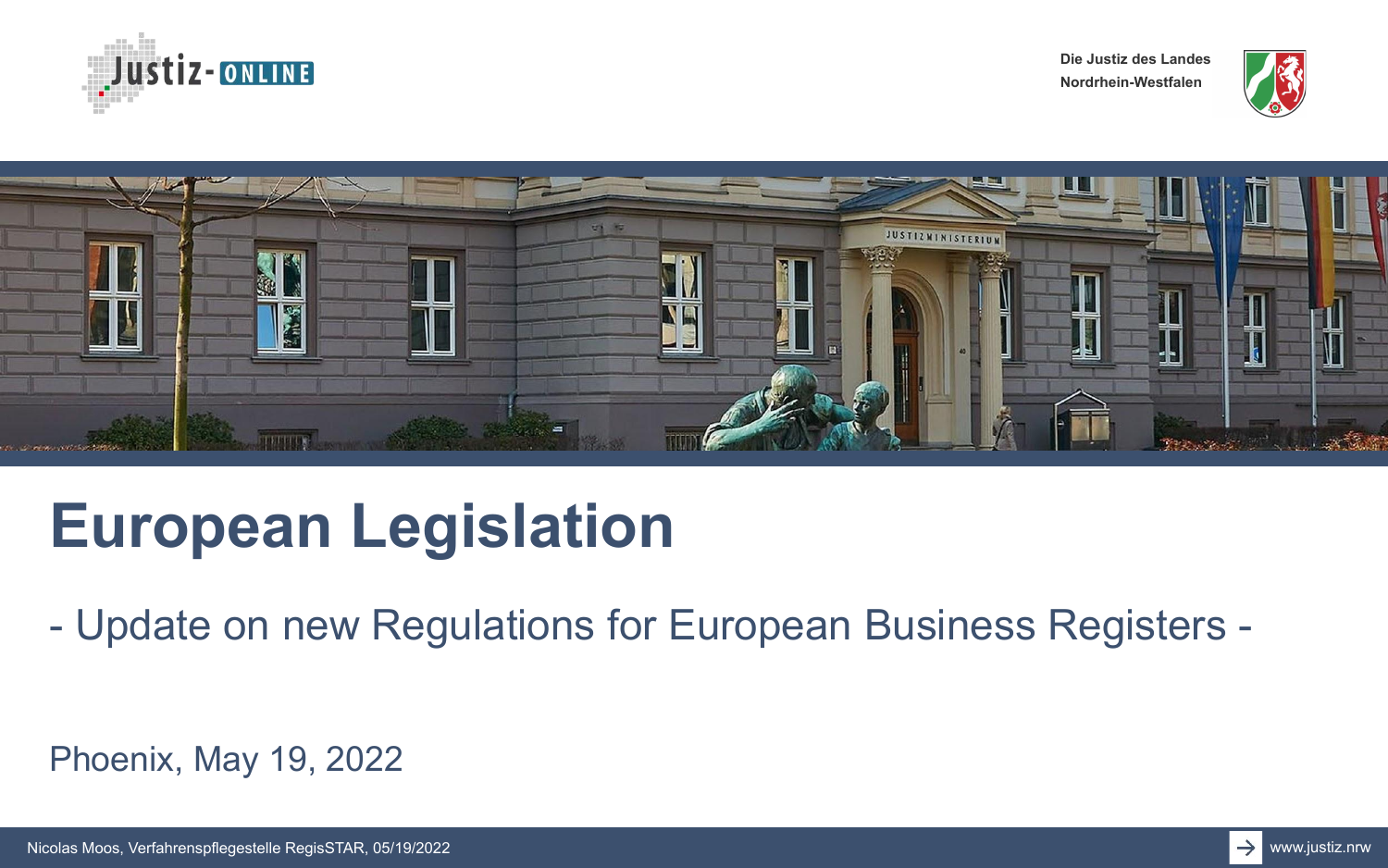





# **European Legislation**

- Update on new Regulations for European Business Registers -

Phoenix, May 19, 2022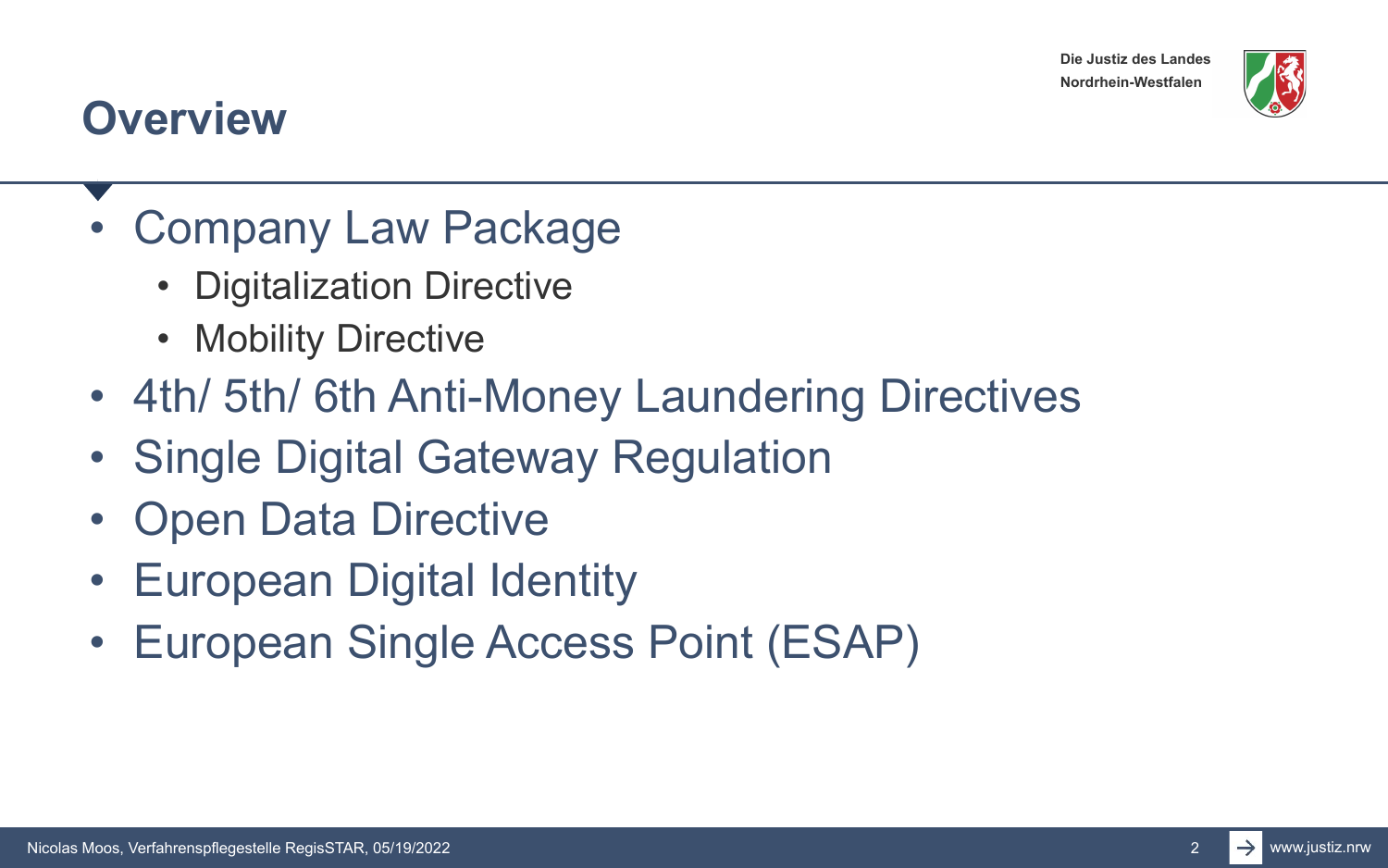

#### **Overview**

- Company Law Package
	- Digitalization Directive
	- Mobility Directive
- 4th/ 5th/ 6th Anti-Money Laundering Directives
- Single Digital Gateway Regulation
- Open Data Directive
- European Digital Identity
- European Single Access Point (ESAP)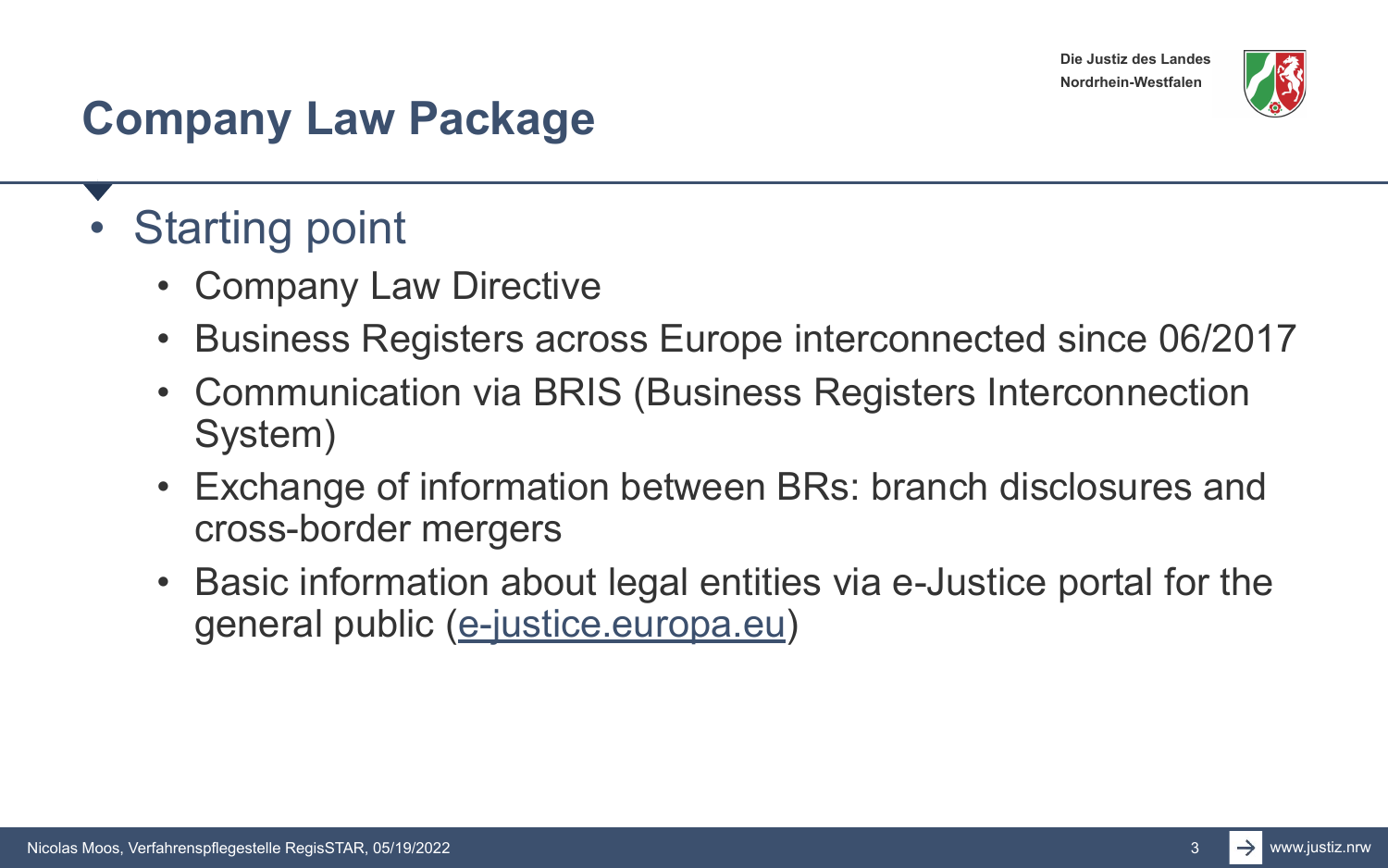

### **Company Law Package**

- Starting point
	- Company Law Directive
	- Business Registers across Europe interconnected since 06/2017
	- Communication via BRIS (Business Registers Interconnection System)
	- Exchange of information between BRs: branch disclosures and cross-border mergers
	- Basic information about legal entities via e-Justice portal for the general public ([e-justice.europa.eu\)](https://e-justice.europa.eu/)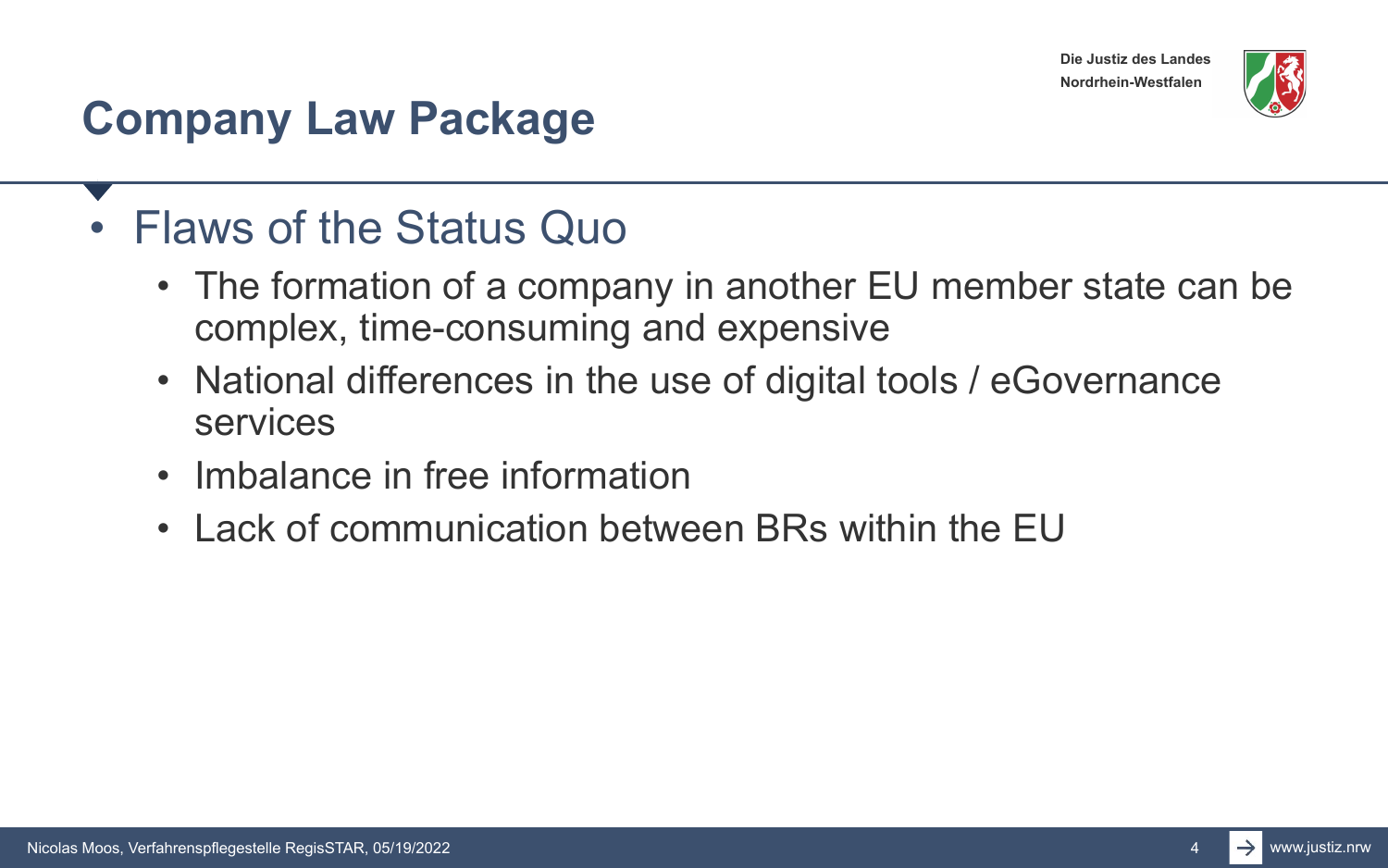

#### **Company Law Package**

#### • Flaws of the Status Quo

- The formation of a company in another EU member state can be complex, time-consuming and expensive
- National differences in the use of digital tools / eGovernance services
- Imbalance in free information
- Lack of communication between BRs within the EU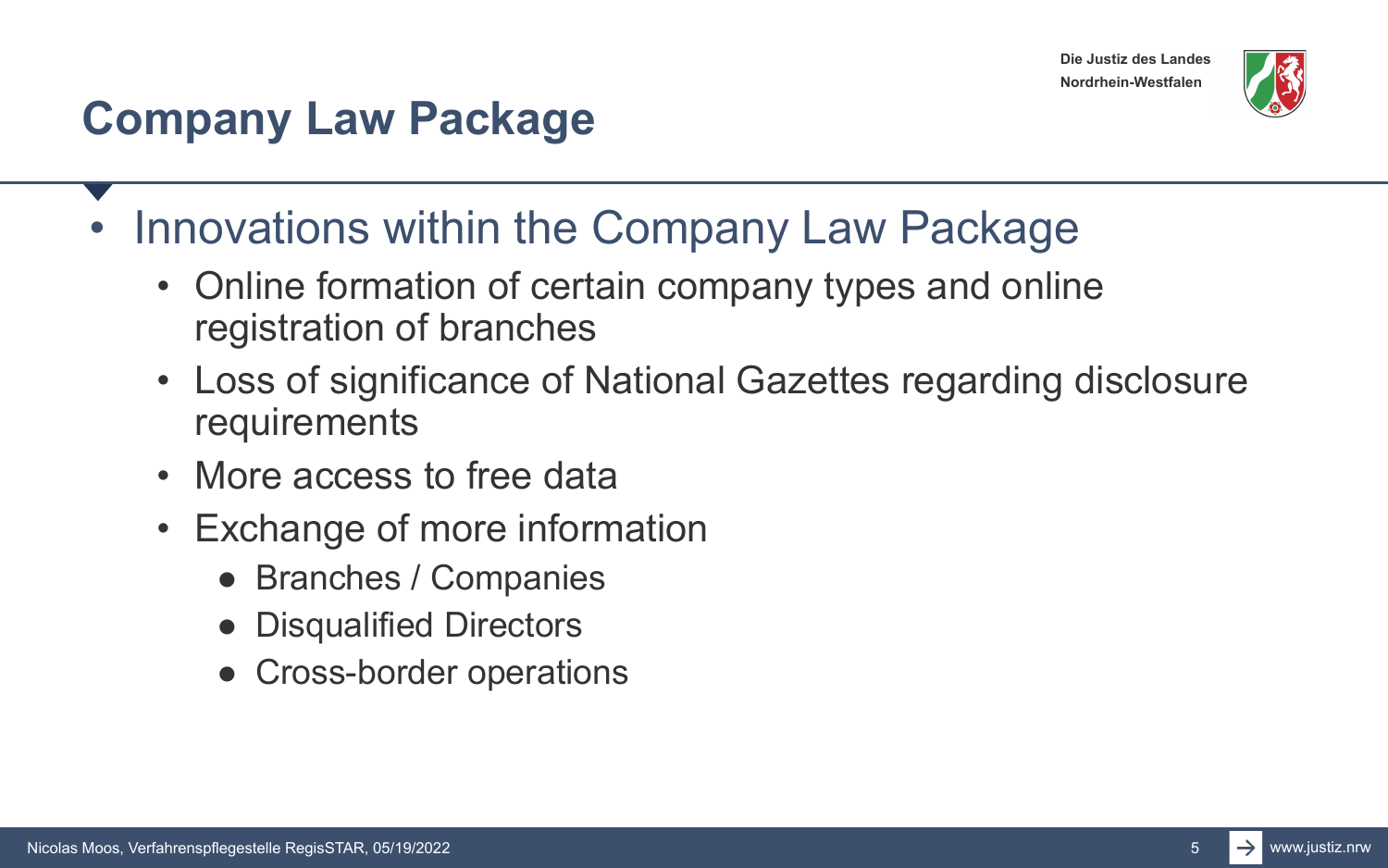

### **Company Law Package**

- Innovations within the Company Law Package
	- Online formation of certain company types and online registration of branches
	- Loss of significance of National Gazettes regarding disclosure requirements
	- More access to free data
	- Exchange of more information
		- Branches / Companies
		- Disqualified Directors
		- Cross-border operations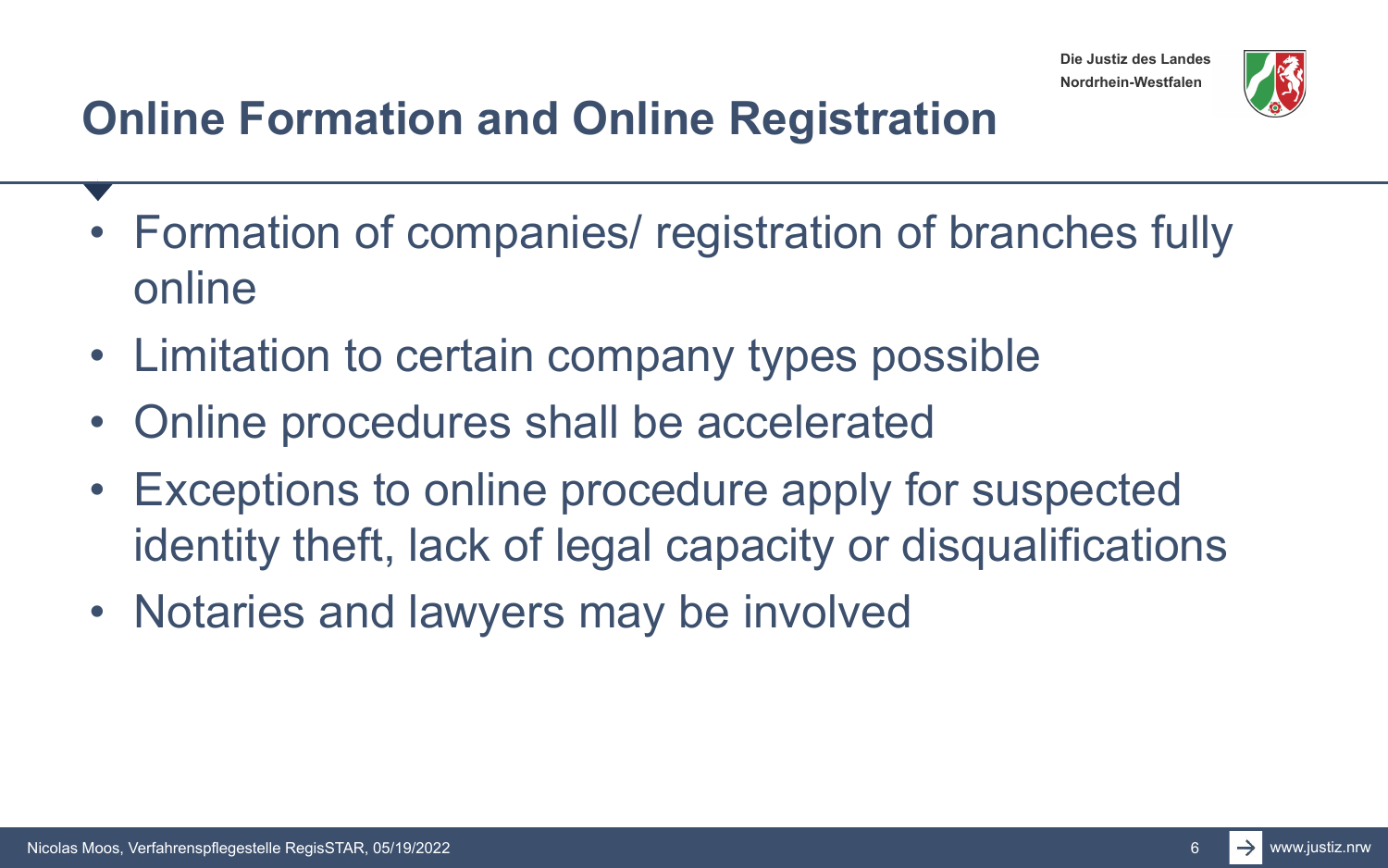

# **Online Formation and Online Registration**

- Formation of companies/ registration of branches fully online
- Limitation to certain company types possible
- Online procedures shall be accelerated
- Exceptions to online procedure apply for suspected identity theft, lack of legal capacity or disqualifications
- Notaries and lawyers may be involved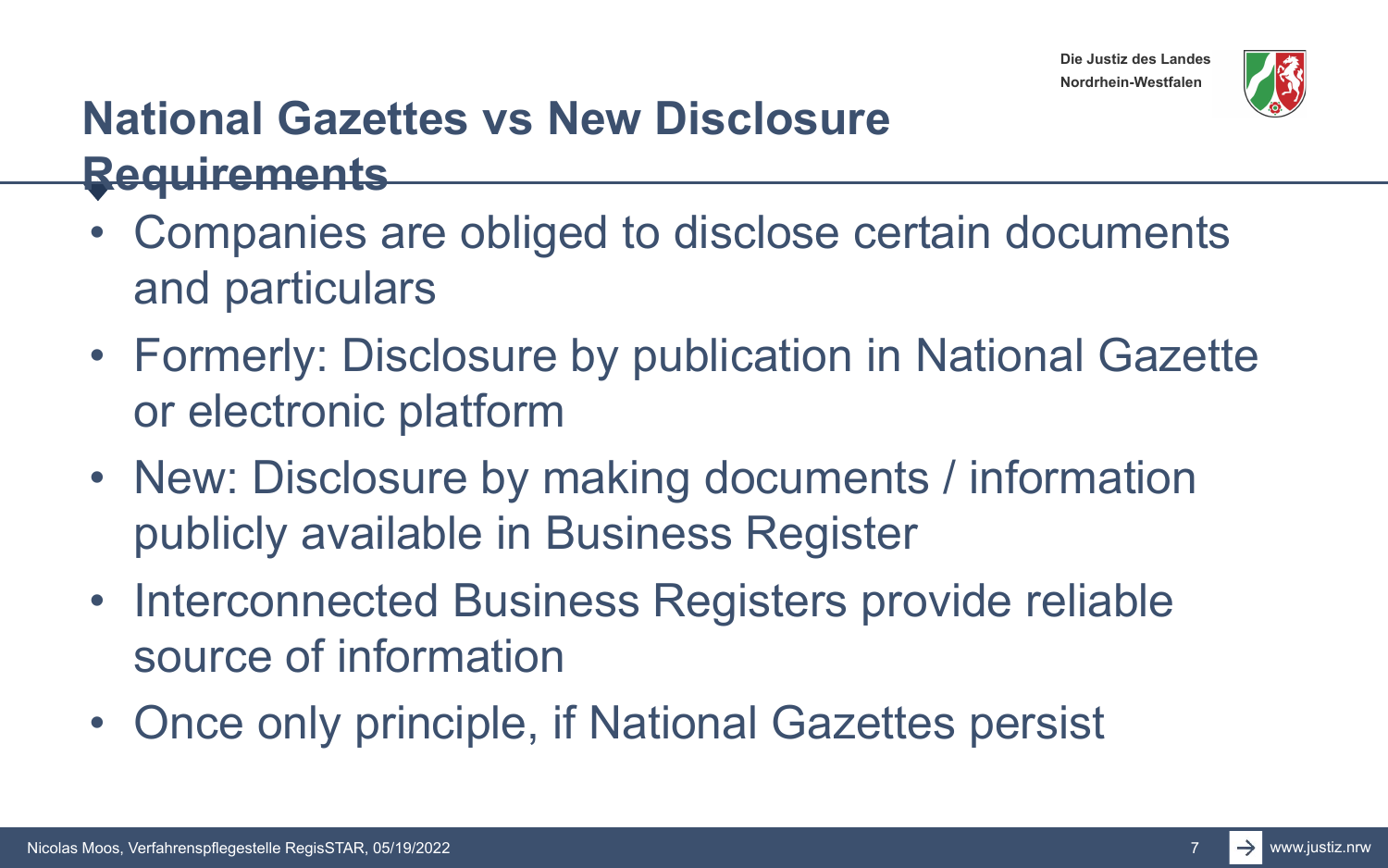



#### **National Gazettes vs New Disclosure Requirements**

- Companies are obliged to disclose certain documents and particulars
- Formerly: Disclosure by publication in National Gazette or electronic platform
- New: Disclosure by making documents / information publicly available in Business Register
- Interconnected Business Registers provide reliable source of information
- Once only principle, if National Gazettes persist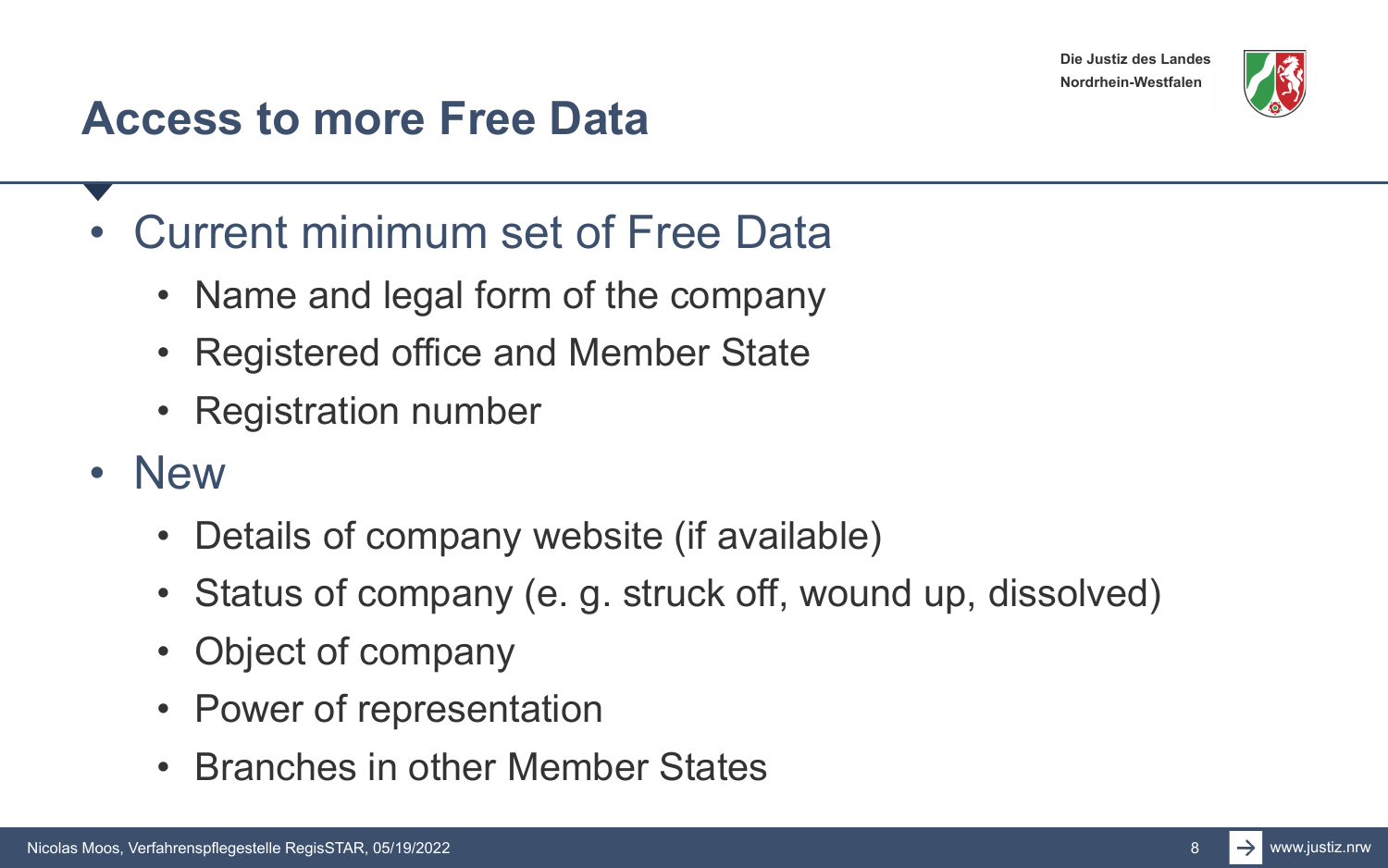

#### **Access to more Free Data**

- Current minimum set of Free Data
	- Name and legal form of the company
	- Registered office and Member State
	- Registration number
- New
	- Details of company website (if available)
	- Status of company (e. g. struck off, wound up, dissolved)
	- Object of company
	- Power of representation
	- Branches in other Member States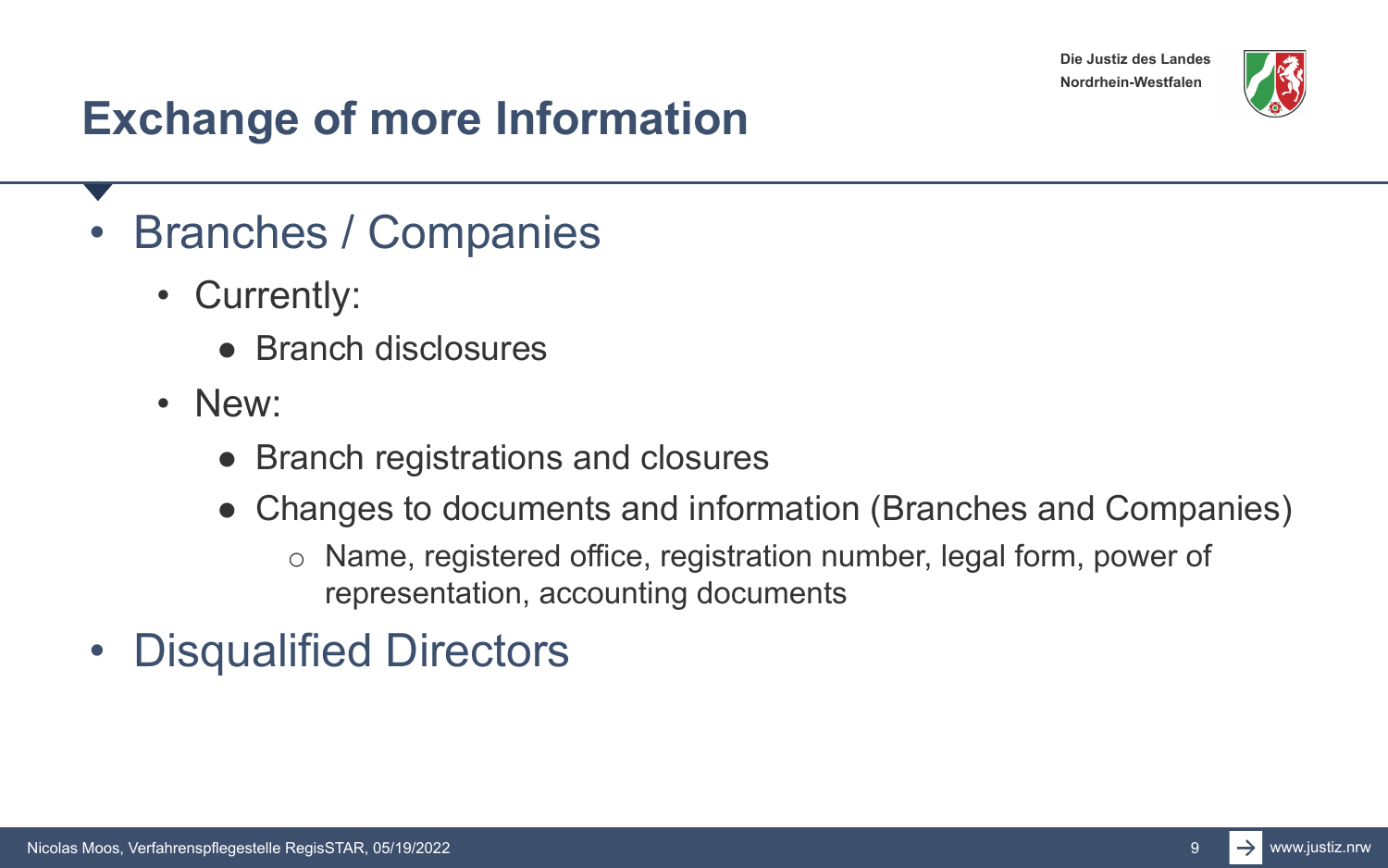

### **Exchange of more Information**

- Branches / Companies
	- Currently:
		- Branch disclosures
	- New:
		- Branch registrations and closures
		- Changes to documents and information (Branches and Companies)
			- o Name, registered office, registration number, legal form, power of representation, accounting documents
- Disqualified Directors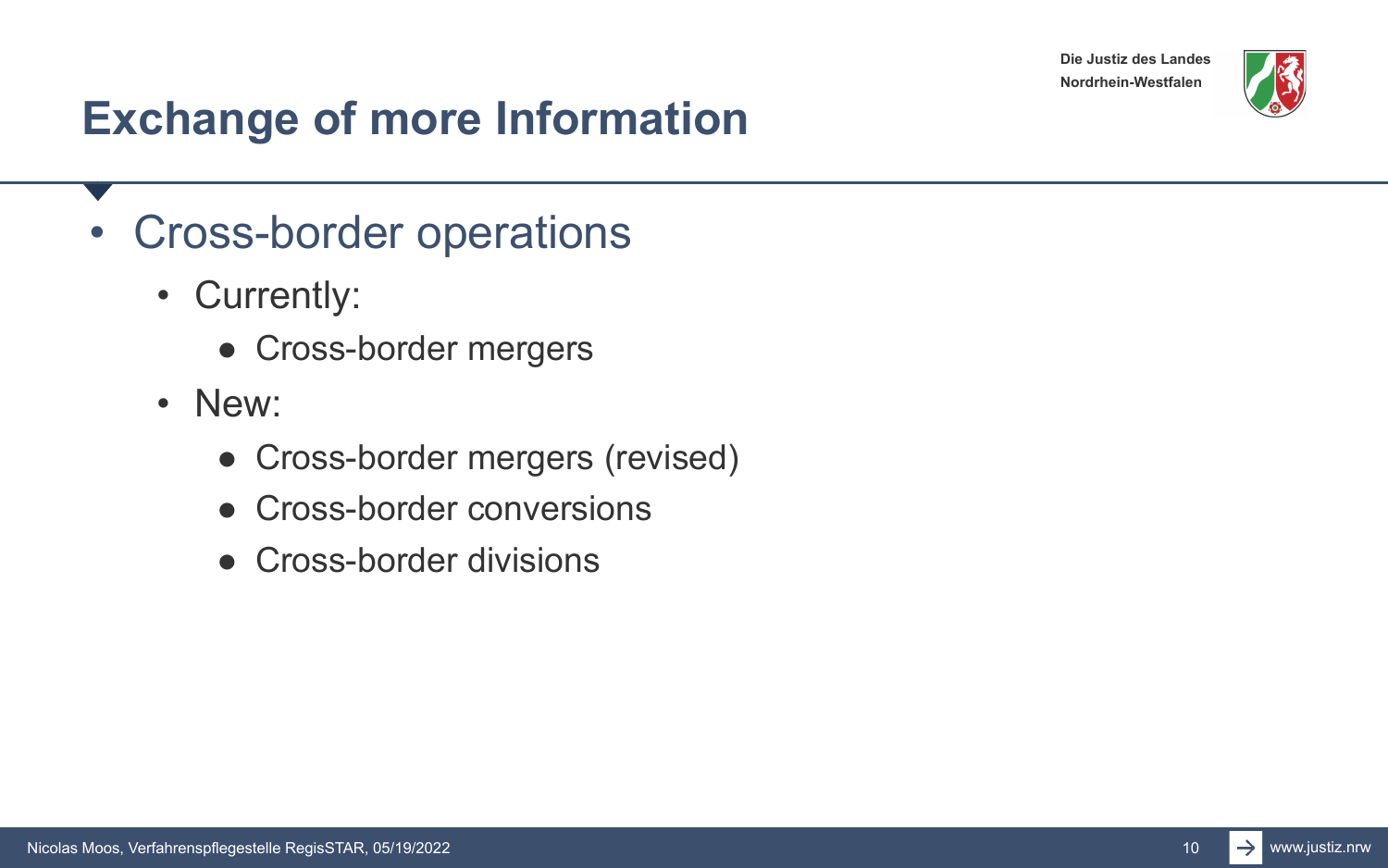

### **Exchange of more Information**

- Cross-border operations
	- Currently:
		- Cross-border mergers
	- New:
		- Cross-border mergers (revised)
		- Cross-border conversions
		- Cross-border divisions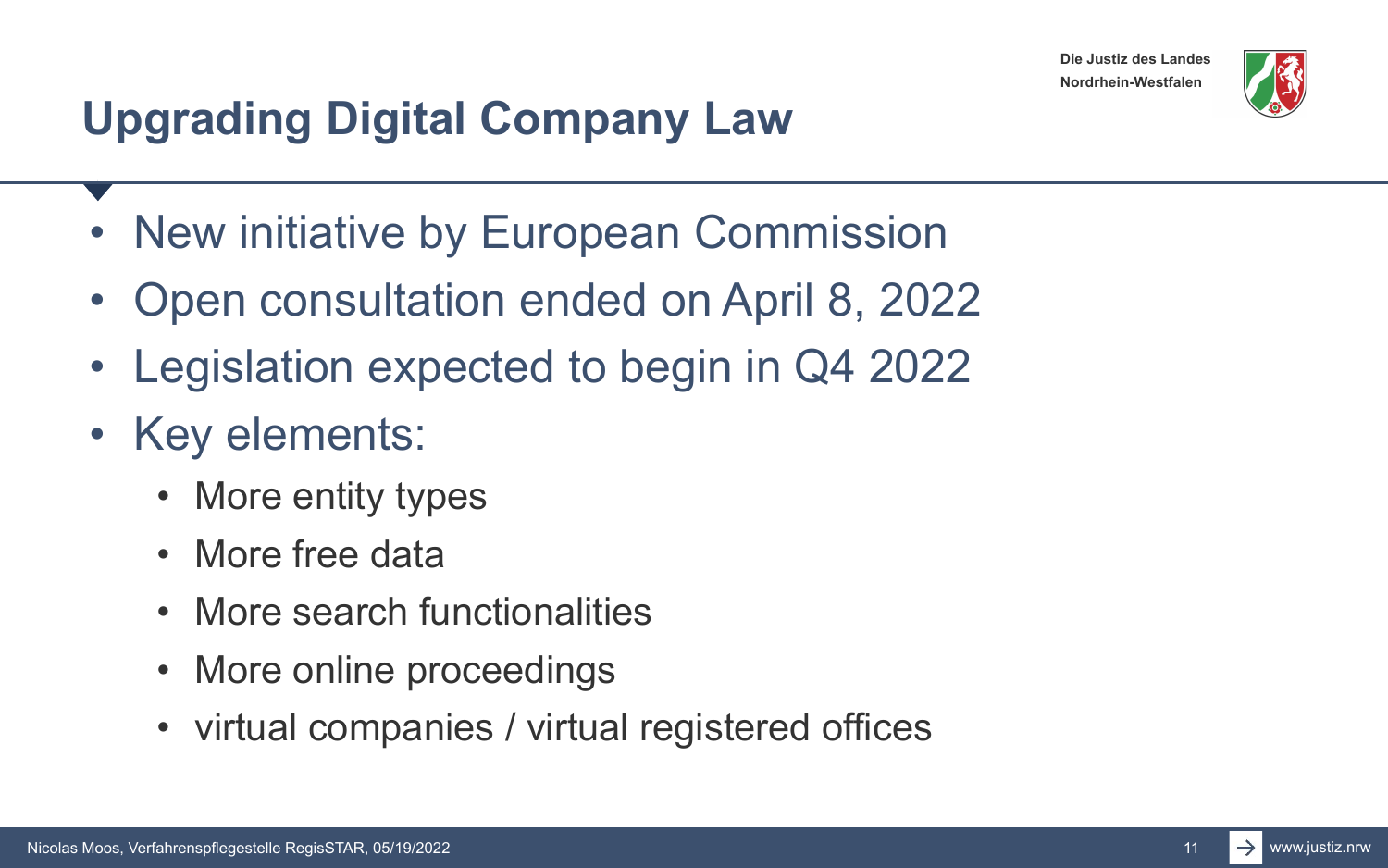

# **Upgrading Digital Company Law**

- New initiative by European Commission
- Open consultation ended on April 8, 2022
- Legislation expected to begin in Q4 2022
- Key elements:
	- More entity types
	- More free data
	- More search functionalities
	- More online proceedings
	- virtual companies / virtual registered offices